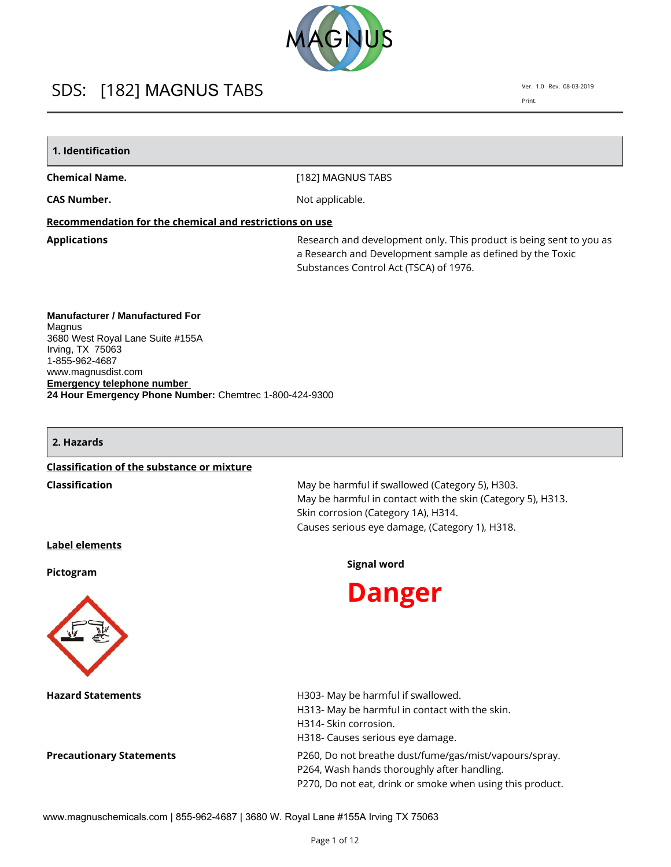

Ver. 1.0 Rev. 08-03-2019 Print.

# **1. Identification**

#### **Chemical Name.**

[182] MAGNUS TABS

**CAS Number.**

Not applicable.

### **Recommendation for the chemical and restrictions on use**

**Applications Applications Research and development only. This product is being sent to you as** a Research and Development sample as defined by the Toxic Substances Control Act (TSCA) of 1976.

**Manufacturer / Manufactured For Magnus** 3680 West Royal Lane Suite #155A Irving, TX 75063 1-855-962-4687 www.magnusdist.com **Emergency telephone number 24 Hour Emergency Phone Number:** Chemtrec 1-800-424-9300

#### **2. Hazards**

#### **Classification of the substance or mixture**

**Classification** May be harmful if swallowed (Category 5), H303. May be harmful in contact with the skin (Category 5), H313. Skin corrosion (Category 1A), H314. Causes serious eye damage, (Category 1), H318.

# **Label elements**

**Pictogram**



**Hazard Statements H303-May be harmful if swallowed.** 

# **Signal word**



H313- May be harmful in contact with the skin. H314- Skin corrosion. H318- Causes serious eye damage. **Precautionary Statements P260, Do not breathe dust/fume/gas/mist/vapours/spray.** P264, Wash hands thoroughly after handling. P270, Do not eat, drink or smoke when using this product.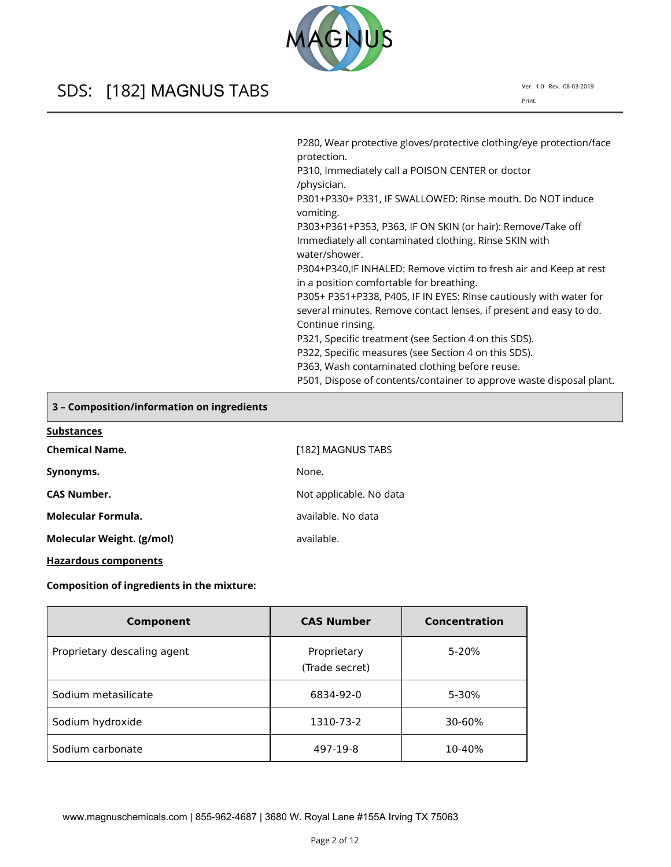Ver. 1.0 Rev. 08-03-2019 Print.

| P280, Wear protective gloves/protective clothing/eye protection/face<br>protection.                            |
|----------------------------------------------------------------------------------------------------------------|
| P310, Immediately call a POISON CENTER or doctor<br>/physician.                                                |
| P301+P330+ P331, IF SWALLOWED: Rinse mouth. Do NOT induce<br>vomiting.                                         |
| P303+P361+P353, P363, IF ON SKIN (or hair): Remove/Take off                                                    |
| Immediately all contaminated clothing. Rinse SKIN with                                                         |
| water/shower.                                                                                                  |
| P304+P340, IF INHALED: Remove victim to fresh air and Keep at rest<br>in a position comfortable for breathing. |
| P305+ P351+P338, P405, IF IN EYES: Rinse cautiously with water for                                             |
| several minutes. Remove contact lenses, if present and easy to do.                                             |
| Continue rinsing.                                                                                              |
| P321, Specific treatment (see Section 4 on this SDS).                                                          |
| P322, Specific measures (see Section 4 on this SDS).                                                           |
| P363, Wash contaminated clothing before reuse.                                                                 |
| P501, Dispose of contents/container to approve waste disposal plant.                                           |

**S** 

# **3 – Composition/information on ingredients**

| <b>Substances</b>         |                         |
|---------------------------|-------------------------|
| <b>Chemical Name.</b>     | [182] MAGNUS TABS       |
| Synonyms.                 | None.                   |
| <b>CAS Number.</b>        | Not applicable. No data |
| Molecular Formula.        | available. No data      |
| Molecular Weight. (g/mol) | available.              |

**Hazardous components**

**Composition of ingredients in the mixture:**

| Component                   | <b>CAS Number</b>             | Concentration |
|-----------------------------|-------------------------------|---------------|
| Proprietary descaling agent | Proprietary<br>(Trade secret) | 5-20%         |
| Sodium metasilicate         | 6834-92-0                     | 5-30%         |
| Sodium hydroxide            | 1310-73-2                     | 30-60%        |
| Sodium carbonate            | 497-19-8                      | 10-40%        |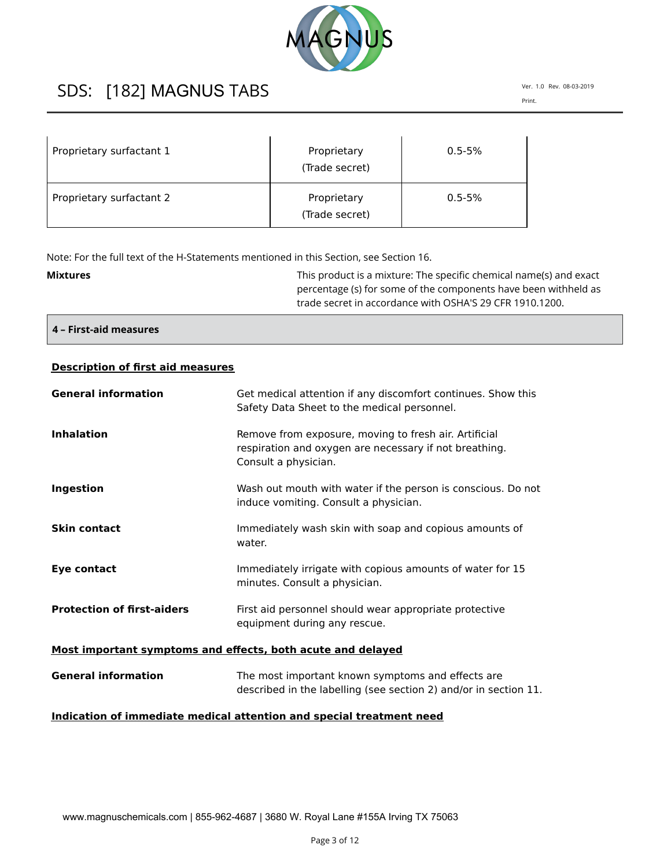

Ver. 1.0 Rev. 08-03-2019 Print.

| Proprietary surfactant 1 | Proprietary<br>(Trade secret) | $0.5 - 5%$ |
|--------------------------|-------------------------------|------------|
| Proprietary surfactant 2 | Proprietary<br>(Trade secret) | $0.5 - 5%$ |

Note: For the full text of the H-Statements mentioned in this Section, see Section 16.

| <b>Mixtures</b> | This product is a mixture: The specific chemical name(s) and exact |
|-----------------|--------------------------------------------------------------------|
|                 | percentage (s) for some of the components have been withheld as    |
|                 | trade secret in accordance with OSHA'S 29 CFR 1910.1200.           |

**4 – First-aid measures**

# **Description of first aid measures**

| <b>General information</b>                                  | Get medical attention if any discomfort continues. Show this<br>Safety Data Sheet to the medical personnel.                             |  |
|-------------------------------------------------------------|-----------------------------------------------------------------------------------------------------------------------------------------|--|
| <b>Inhalation</b>                                           | Remove from exposure, moving to fresh air. Artificial<br>respiration and oxygen are necessary if not breathing.<br>Consult a physician. |  |
| Ingestion                                                   | Wash out mouth with water if the person is conscious. Do not<br>induce vomiting. Consult a physician.                                   |  |
| <b>Skin contact</b>                                         | Immediately wash skin with soap and copious amounts of<br>water.                                                                        |  |
| Eye contact                                                 | Immediately irrigate with copious amounts of water for 15<br>minutes. Consult a physician.                                              |  |
| <b>Protection of first-aiders</b>                           | First aid personnel should wear appropriate protective<br>equipment during any rescue.                                                  |  |
| Most important symptoms and effects, both acute and delayed |                                                                                                                                         |  |
| <b>General information</b>                                  | The most important known symptoms and effects are<br>described in the labelling (see section 2) and/or in section 11.                   |  |

# **Indication of immediate medical attention and special treatment need**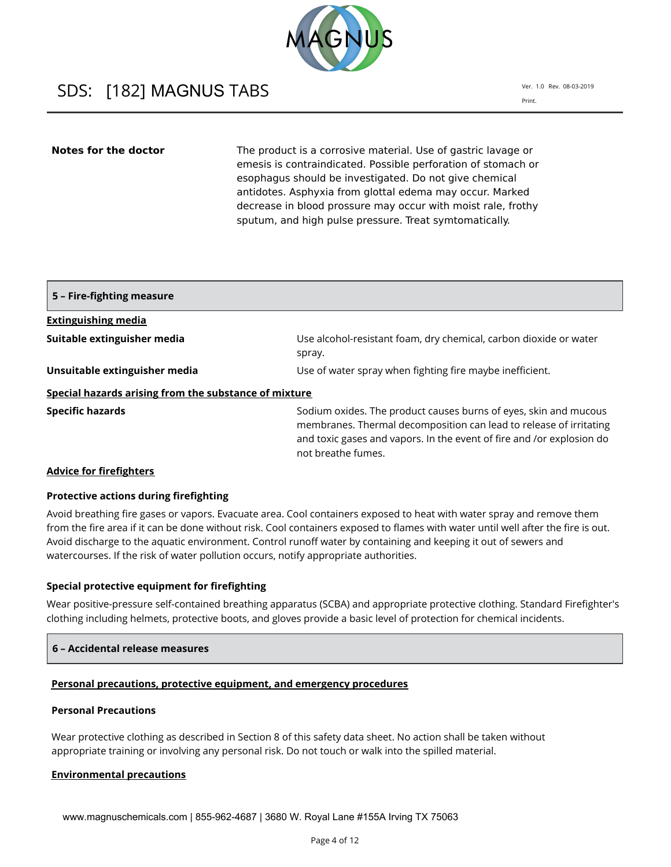

Ver. 1.0 Rev. 08-03-2019 Print.

**Notes for the doctor** The product is a corrosive material. Use of gastric lavage or emesis is contraindicated. Possible perforation of stomach or esophagus should be investigated. Do not give chemical antidotes. Asphyxia from glottal edema may occur. Marked decrease in blood prossure may occur with moist rale, frothy sputum, and high pulse pressure. Treat symtomatically.

| 5 - Fire-fighting measure                             |                                                                                                                                                                                                                                       |
|-------------------------------------------------------|---------------------------------------------------------------------------------------------------------------------------------------------------------------------------------------------------------------------------------------|
| <b>Extinguishing media</b>                            |                                                                                                                                                                                                                                       |
| Suitable extinguisher media                           | Use alcohol-resistant foam, dry chemical, carbon dioxide or water<br>spray.                                                                                                                                                           |
| Unsuitable extinguisher media                         | Use of water spray when fighting fire maybe inefficient.                                                                                                                                                                              |
| Special hazards arising from the substance of mixture |                                                                                                                                                                                                                                       |
| <b>Specific hazards</b>                               | Sodium oxides. The product causes burns of eyes, skin and mucous<br>membranes. Thermal decomposition can lead to release of irritating<br>and toxic gases and vapors. In the event of fire and /or explosion do<br>not breathe fumes. |

#### **Advice for firefighters**

#### **Protective actions during firefighting**

Avoid breathing fire gases or vapors. Evacuate area. Cool containers exposed to heat with water spray and remove them from the fire area if it can be done without risk. Cool containers exposed to flames with water until well after the fire is out. Avoid discharge to the aquatic environment. Control runoff water by containing and keeping it out of sewers and watercourses. If the risk of water pollution occurs, notify appropriate authorities.

# **Special protective equipment for firefighting**

Wear positive-pressure self-contained breathing apparatus (SCBA) and appropriate protective clothing. Standard Firefighter's clothing including helmets, protective boots, and gloves provide a basic level of protection for chemical incidents.

# **6 – Accidental release measures**

#### **Personal precautions, protective equipment, and emergency procedures**

# **Personal Precautions**

Wear protective clothing as described in Section 8 of this safety data sheet. No action shall be taken without appropriate training or involving any personal risk. Do not touch or walk into the spilled material.

#### **Environmental precautions**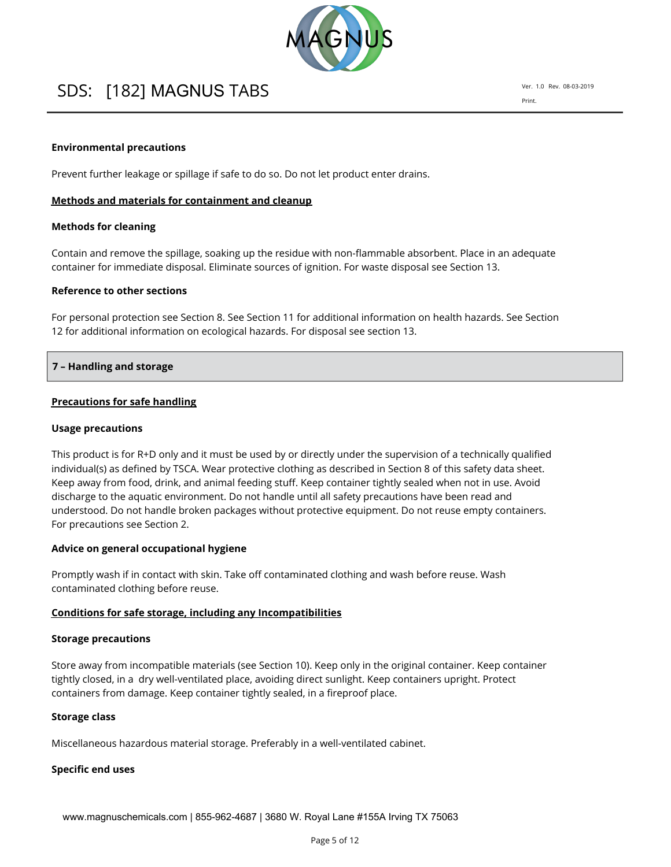

Ver. 1.0 Rev. 08-03-2019 Print.

### **Environmental precautions**

Prevent further leakage or spillage if safe to do so. Do not let product enter drains.

#### **Methods and materials for containment and cleanup**

#### **Methods for cleaning**

Contain and remove the spillage, soaking up the residue with non-flammable absorbent. Place in an adequate container for immediate disposal. Eliminate sources of ignition. For waste disposal see Section 13.

#### **Reference to other sections**

For personal protection see Section 8. See Section 11 for additional information on health hazards. See Section 12 for additional information on ecological hazards. For disposal see section 13.

# **7 – Handling and storage**

### **Precautions for safe handling**

#### **Usage precautions**

This product is for R+D only and it must be used by or directly under the supervision of a technically qualified individual(s) as defined by TSCA. Wear protective clothing as described in Section 8 of this safety data sheet. Keep away from food, drink, and animal feeding stuff. Keep container tightly sealed when not in use. Avoid discharge to the aquatic environment. Do not handle until all safety precautions have been read and understood. Do not handle broken packages without protective equipment. Do not reuse empty containers. For precautions see Section 2.

# **Advice on general occupational hygiene**

Promptly wash if in contact with skin. Take off contaminated clothing and wash before reuse. Wash contaminated clothing before reuse.

# **Conditions for safe storage, including any Incompatibilities**

#### **Storage precautions**

Store away from incompatible materials (see Section 10). Keep only in the original container. Keep container tightly closed, in a dry well-ventilated place, avoiding direct sunlight. Keep containers upright. Protect containers from damage. Keep container tightly sealed, in a fireproof place.

#### **Storage class**

Miscellaneous hazardous material storage. Preferably in a well-ventilated cabinet.

# **Specific end uses**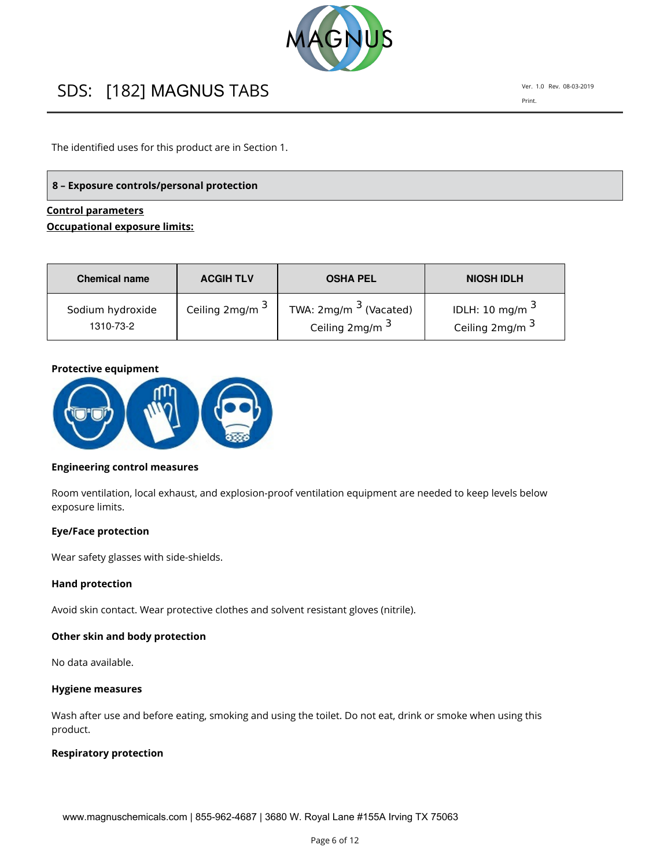

The identified uses for this product are in Section 1.

# **8 – Exposure controls/personal protection**

# **Control parameters Occupational exposure limits:**

| <b>Chemical name</b> | <b>ACGIH TLV</b> | <b>OSHA PEL</b>            | <b>NIOSH IDLH</b>          |
|----------------------|------------------|----------------------------|----------------------------|
| Sodium hydroxide     | Ceiling 2mg/m 3  | TWA: $2mg/m3$ (Vacated)    | IDLH: 10 mg/m $^3$         |
| 1310-73-2            |                  | Ceiling 2mg/m <sup>3</sup> | Ceiling 2mg/m <sup>3</sup> |

# **Protective equipment**



# **Engineering control measures**

Room ventilation, local exhaust, and explosion-proof ventilation equipment are needed to keep levels below exposure limits.

# **Eye/Face protection**

Wear safety glasses with side-shields.

#### **Hand protection**

Avoid skin contact. Wear protective clothes and solvent resistant gloves (nitrile).

### **Other skin and body protection**

No data available.

#### **Hygiene measures**

Wash after use and before eating, smoking and using the toilet. Do not eat, drink or smoke when using this product.

### **Respiratory protection**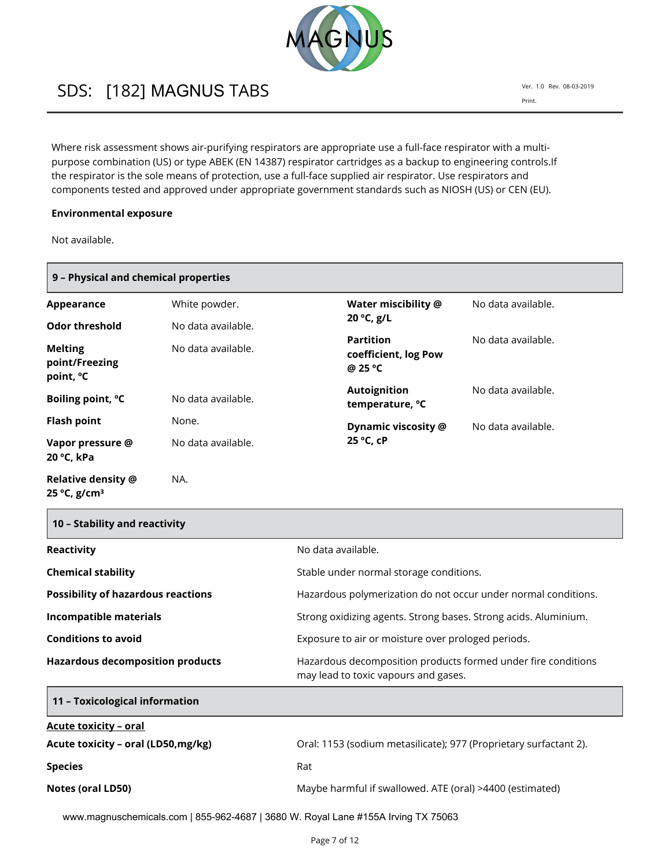

Where risk assessment shows air-purifying respirators are appropriate use a full-face respirator with a multipurpose combination (US) or type ABEK (EN 14387) respirator cartridges as a backup to engineering controls.If the respirator is the sole means of protection, use a full-face supplied air respirator. Use respirators and components tested and approved under appropriate government standards such as NIOSH (US) or CEN (EU).

### **Environmental exposure**

Not available.

| 9 - Physical and chemical properties                      |                    |                                                     |                    |
|-----------------------------------------------------------|--------------------|-----------------------------------------------------|--------------------|
| Appearance                                                | White powder.      | Water miscibility @                                 | No data available. |
| <b>Odor threshold</b>                                     | No data available. | 20 °C, g/L                                          |                    |
| <b>Melting</b><br>point/Freezing<br>point, <sup>o</sup> C | No data available. | <b>Partition</b><br>coefficient, log Pow<br>@ 25 °C | No data available. |
| Boiling point, °C                                         | No data available. | <b>Autoignition</b><br>temperature, °C              | No data available. |
| <b>Flash point</b>                                        | None.              | Dynamic viscosity @                                 | No data available. |
| Vapor pressure @<br>20 °C, kPa                            | No data available. | 25 °C, cP                                           |                    |
| Relative density @<br>25 °C, g/cm <sup>3</sup>            | NA.                |                                                     |                    |

| 10 – Stability and reactivity             |                                                                                                       |
|-------------------------------------------|-------------------------------------------------------------------------------------------------------|
| Reactivity                                | No data available.                                                                                    |
| <b>Chemical stability</b>                 | Stable under normal storage conditions.                                                               |
| <b>Possibility of hazardous reactions</b> | Hazardous polymerization do not occur under normal conditions.                                        |
| <b>Incompatible materials</b>             | Strong oxidizing agents. Strong bases. Strong acids. Aluminium.                                       |
| <b>Conditions to avoid</b>                | Exposure to air or moisture over prologed periods.                                                    |
| <b>Hazardous decomposition products</b>   | Hazardous decomposition products formed under fire conditions<br>may lead to toxic vapours and gases. |
| 11 - Toxicological information            |                                                                                                       |
| <b>Acute toxicity - oral</b>              |                                                                                                       |
| Acute toxicity - oral (LD50, mg/kg)       | Oral: 1153 (sodium metasilicate); 977 (Proprietary surfactant 2).                                     |
| <b>Species</b>                            | Rat                                                                                                   |
| Notes (oral LD50)                         | Maybe harmful if swallowed. ATE (oral) >4400 (estimated)                                              |

www.magnuschemicals.com | 855-962-4687 | 3680 W. Royal Lane #155A Irving TX 75063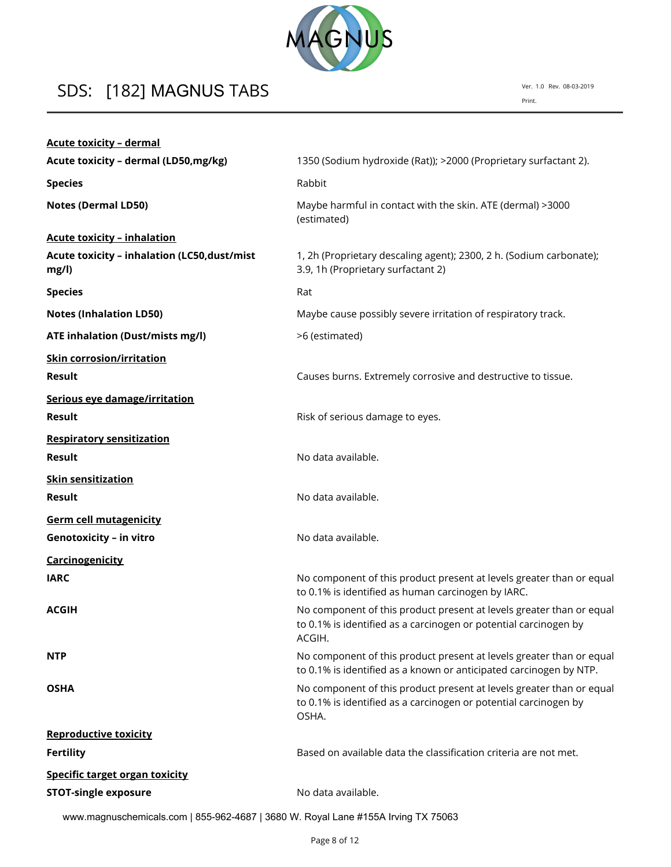

| <b>Acute toxicity - dermal</b>                        |                                                                                                                                                    |
|-------------------------------------------------------|----------------------------------------------------------------------------------------------------------------------------------------------------|
| Acute toxicity - dermal (LD50, mg/kg)                 | 1350 (Sodium hydroxide (Rat)); >2000 (Proprietary surfactant 2).                                                                                   |
| <b>Species</b>                                        | Rabbit                                                                                                                                             |
| <b>Notes (Dermal LD50)</b>                            | Maybe harmful in contact with the skin. ATE (dermal) >3000<br>(estimated)                                                                          |
| <b>Acute toxicity - inhalation</b>                    |                                                                                                                                                    |
| Acute toxicity - inhalation (LC50, dust/mist<br>mg/l) | 1, 2h (Proprietary descaling agent); 2300, 2 h. (Sodium carbonate);<br>3.9, 1h (Proprietary surfactant 2)                                          |
| <b>Species</b>                                        | Rat                                                                                                                                                |
| <b>Notes (Inhalation LD50)</b>                        | Maybe cause possibly severe irritation of respiratory track.                                                                                       |
| ATE inhalation (Dust/mists mg/l)                      | >6 (estimated)                                                                                                                                     |
| <b>Skin corrosion/irritation</b>                      |                                                                                                                                                    |
| <b>Result</b>                                         | Causes burns. Extremely corrosive and destructive to tissue.                                                                                       |
| Serious eye damage/irritation                         |                                                                                                                                                    |
| <b>Result</b>                                         | Risk of serious damage to eyes.                                                                                                                    |
| <b>Respiratory sensitization</b>                      |                                                                                                                                                    |
| <b>Result</b>                                         | No data available.                                                                                                                                 |
| <b>Skin sensitization</b>                             |                                                                                                                                                    |
| <b>Result</b>                                         | No data available.                                                                                                                                 |
| <b>Germ cell mutagenicity</b>                         |                                                                                                                                                    |
| <b>Genotoxicity - in vitro</b>                        | No data available.                                                                                                                                 |
| <b>Carcinogenicity</b>                                |                                                                                                                                                    |
| <b>IARC</b>                                           | No component of this product present at levels greater than or equal<br>to 0.1% is identified as human carcinogen by IARC.                         |
| <b>ACGIH</b>                                          | No component of this product present at levels greater than or equal<br>to 0.1% is identified as a carcinogen or potential carcinogen by<br>ACGIH. |
| <b>NTP</b>                                            | No component of this product present at levels greater than or equal<br>to 0.1% is identified as a known or anticipated carcinogen by NTP.         |
| <b>OSHA</b>                                           | No component of this product present at levels greater than or equal<br>to 0.1% is identified as a carcinogen or potential carcinogen by<br>OSHA.  |
| <b>Reproductive toxicity</b>                          |                                                                                                                                                    |
| <b>Fertility</b>                                      | Based on available data the classification criteria are not met.                                                                                   |
| <b>Specific target organ toxicity</b>                 |                                                                                                                                                    |
| <b>STOT-single exposure</b>                           | No data available.                                                                                                                                 |

www.magnuschemicals.com | 855-962-4687 | 3680 W. Royal Lane #155A Irving TX 75063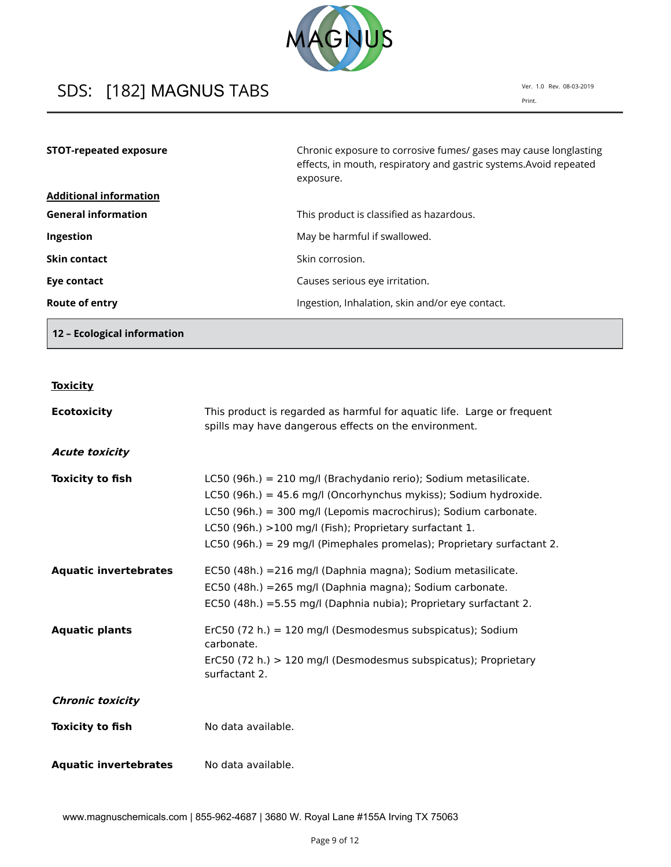

Ver. 1.0 Rev. 08-03-2019 Print.

| <b>STOT-repeated exposure</b> | Chronic exposure to corrosive fumes/ gases may cause longlasting<br>effects, in mouth, respiratory and gastric systems. Avoid repeated<br>exposure. |
|-------------------------------|-----------------------------------------------------------------------------------------------------------------------------------------------------|
| <b>Additional information</b> |                                                                                                                                                     |
| <b>General information</b>    | This product is classified as hazardous.                                                                                                            |
| Ingestion                     | May be harmful if swallowed.                                                                                                                        |
| Skin contact                  | Skin corrosion.                                                                                                                                     |
| Eye contact                   | Causes serious eye irritation.                                                                                                                      |
| Route of entry                | Ingestion, Inhalation, skin and/or eye contact.                                                                                                     |

**12 – Ecological information**

| OXICI |
|-------|
|       |

| <b>Ecotoxicity</b>           | This product is regarded as harmful for aquatic life. Large or frequent<br>spills may have dangerous effects on the environment.                                                                                                                                                                                                             |
|------------------------------|----------------------------------------------------------------------------------------------------------------------------------------------------------------------------------------------------------------------------------------------------------------------------------------------------------------------------------------------|
| <b>Acute toxicity</b>        |                                                                                                                                                                                                                                                                                                                                              |
| <b>Toxicity to fish</b>      | LC50 (96h.) = 210 mg/l (Brachydanio rerio); Sodium metasilicate.<br>LC50 (96h.) = 45.6 mg/l (Oncorhynchus mykiss); Sodium hydroxide.<br>LC50 (96h.) = 300 mg/l (Lepomis macrochirus); Sodium carbonate.<br>LC50 (96h.) >100 mg/l (Fish); Proprietary surfactant 1.<br>LC50 (96h.) = 29 mg/l (Pimephales promelas); Proprietary surfactant 2. |
| <b>Aquatic invertebrates</b> | EC50 (48h.) = 216 mg/l (Daphnia magna); Sodium metasilicate.<br>EC50 (48h.) = 265 mg/l (Daphnia magna); Sodium carbonate.<br>EC50 (48h.) = 5.55 mg/l (Daphnia nubia); Proprietary surfactant 2.                                                                                                                                              |
| <b>Aquatic plants</b>        | ErC50 (72 h.) = 120 mg/l (Desmodesmus subspicatus); Sodium<br>carbonate.<br>ErC50 (72 h.) > 120 mg/l (Desmodesmus subspicatus); Proprietary<br>surfactant 2.                                                                                                                                                                                 |
| <b>Chronic toxicity</b>      |                                                                                                                                                                                                                                                                                                                                              |
| <b>Toxicity to fish</b>      | No data available.                                                                                                                                                                                                                                                                                                                           |
| <b>Aquatic invertebrates</b> | No data available.                                                                                                                                                                                                                                                                                                                           |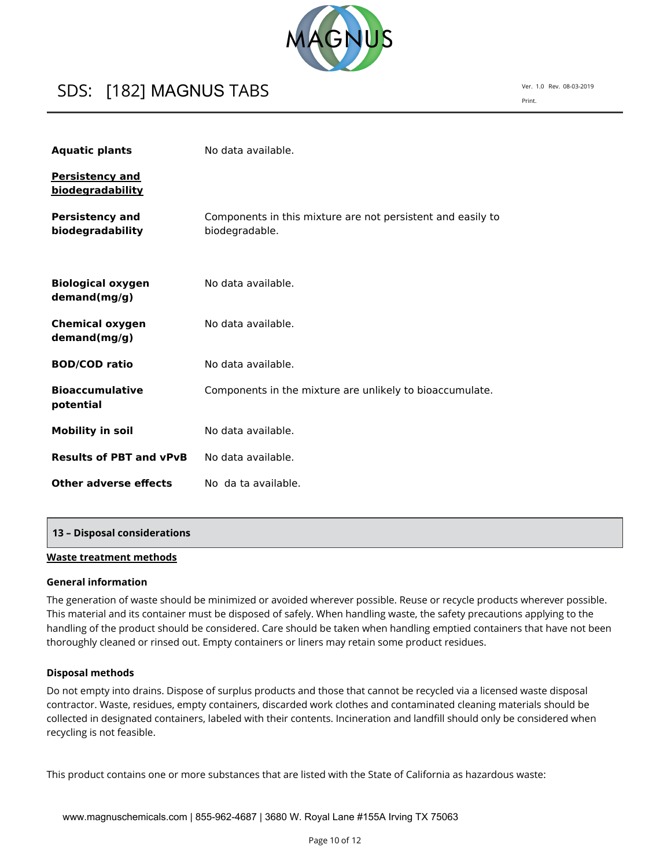

Ver. 1.0 Rev. 08-03-2019 Print.

| <b>Aquatic plants</b>                      | No data available.                                                            |
|--------------------------------------------|-------------------------------------------------------------------------------|
| <b>Persistency and</b><br>biodegradability |                                                                               |
| <b>Persistency and</b><br>biodegradability | Components in this mixture are not persistent and easily to<br>biodegradable. |
| <b>Biological oxygen</b><br>demand(mg/g)   | No data available.                                                            |
| <b>Chemical oxygen</b><br>demand(mg/g)     | No data available.                                                            |
| <b>BOD/COD ratio</b>                       | No data available.                                                            |
| <b>Bioaccumulative</b><br>potential        | Components in the mixture are unlikely to bioaccumulate.                      |
| <b>Mobility in soil</b>                    | No data available.                                                            |
| <b>Results of PBT and vPvB</b>             | No data available.                                                            |
| Other adverse effects                      | No da ta available.                                                           |

#### **13 – Disposal considerations**

### **Waste treatment methods**

#### **General information**

The generation of waste should be minimized or avoided wherever possible. Reuse or recycle products wherever possible. This material and its container must be disposed of safely. When handling waste, the safety precautions applying to the handling of the product should be considered. Care should be taken when handling emptied containers that have not been thoroughly cleaned or rinsed out. Empty containers or liners may retain some product residues.

# **Disposal methods**

Do not empty into drains. Dispose of surplus products and those that cannot be recycled via a licensed waste disposal contractor. Waste, residues, empty containers, discarded work clothes and contaminated cleaning materials should be collected in designated containers, labeled with their contents. Incineration and landfill should only be considered when recycling is not feasible.

This product contains one or more substances that are listed with the State of California as hazardous waste: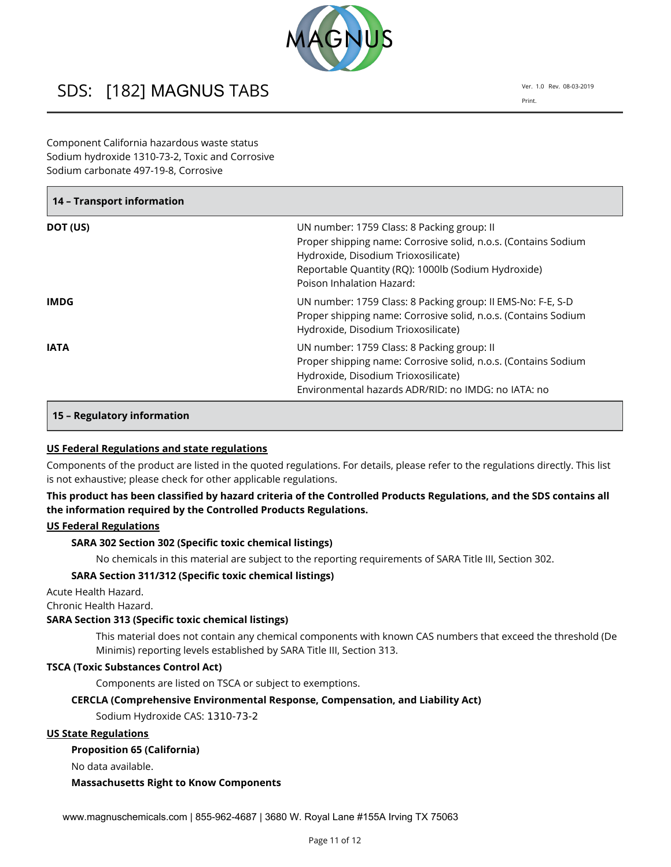

Component California hazardous waste status Sodium hydroxide 1310-73-2, Toxic and Corrosive Sodium carbonate 497-19-8, Corrosive

| 14 - Transport information |                                                                                                                                                                                                                                         |  |  |  |
|----------------------------|-----------------------------------------------------------------------------------------------------------------------------------------------------------------------------------------------------------------------------------------|--|--|--|
| DOT (US)                   | UN number: 1759 Class: 8 Packing group: II<br>Proper shipping name: Corrosive solid, n.o.s. (Contains Sodium<br>Hydroxide, Disodium Trioxosilicate)<br>Reportable Quantity (RQ): 1000lb (Sodium Hydroxide)<br>Poison Inhalation Hazard: |  |  |  |
| IMDG.                      | UN number: 1759 Class: 8 Packing group: II EMS-No: F-E, S-D<br>Proper shipping name: Corrosive solid, n.o.s. (Contains Sodium<br>Hydroxide, Disodium Trioxosilicate)                                                                    |  |  |  |
| <b>IATA</b>                | UN number: 1759 Class: 8 Packing group: II<br>Proper shipping name: Corrosive solid, n.o.s. (Contains Sodium<br>Hydroxide, Disodium Trioxosilicate)<br>Environmental hazards ADR/RID: no IMDG: no IATA: no                              |  |  |  |

# **15 – Regulatory information**

# **US Federal Regulations and state regulations**

Components of the product are listed in the quoted regulations. For details, please refer to the regulations directly. This list is not exhaustive; please check for other applicable regulations.

# **This product has been classified by hazard criteria of the Controlled Products Regulations, and the SDS contains all the information required by the Controlled Products Regulations.**

# **US Federal Regulations**

# **SARA 302 Section 302 (Specific toxic chemical listings)**

No chemicals in this material are subject to the reporting requirements of SARA Title III, Section 302.

#### **SARA Section 311/312 (Specific toxic chemical listings)**

Acute Health Hazard.

Chronic Health Hazard.

#### **SARA Section 313 (Specific toxic chemical listings)**

This material does not contain any chemical components with known CAS numbers that exceed the threshold (De Minimis) reporting levels established by SARA Title III, Section 313.

#### **TSCA (Toxic Substances Control Act)**

Components are listed on TSCA or subject to exemptions.

#### **CERCLA (Comprehensive Environmental Response, Compensation, and Liability Act)**

Sodium Hydroxide CAS: 1310-73-2

#### **US State Regulations**

#### **Proposition 65 (California)**

No data available.

#### **Massachusetts Right to Know Components**